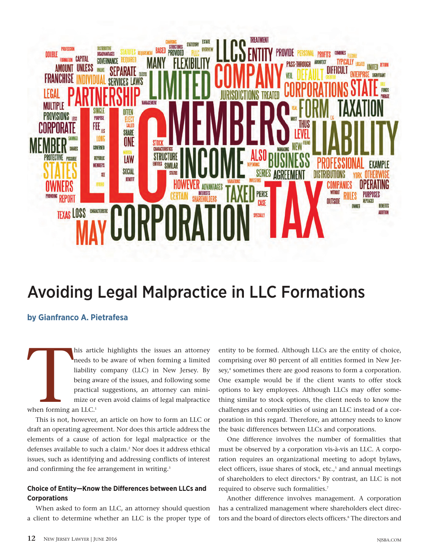

# Avoiding Legal Malpractice in LLC Formations

# **by Gianfranco A. Pietrafesa**

When forming a his article highlights the issues an attorney needs to be aware of when forming a limited liability company (LLC) in New Jersey. By being aware of the issues, and following some practical suggestions, an attorney can minimize or even avoid claims of legal malpractice when forming an LLC.<sup>1</sup>

This is not, however, an article on how to form an LLC or draft an operating agreement. Nor does this article address the elements of a cause of action for legal malpractice or the defenses available to such a claim.<sup>2</sup> Nor does it address ethical issues, such as identifying and addressing conflicts of interest and confirming the fee arrangement in writing.<sup>3</sup>

# **Choice of Entity—Know the Differences between LLCs and Corporations**

When asked to form an LLC, an attorney should question a client to determine whether an LLC is the proper type of entity to be formed. Although LLCs are the entity of choice, comprising over 80 percent of all entities formed in New Jersey,<sup>4</sup> sometimes there are good reasons to form a corporation. One example would be if the client wants to offer stock options to key employees. Although LLCs may offer something similar to stock options, the client needs to know the challenges and complexities of using an LLC instead of a corporation in this regard. Therefore, an attorney needs to know the basic differences between LLCs and corporations.

One difference involves the number of formalities that must be observed by a corporation vis-à-vis an LLC. A corporation requires an organizational meeting to adopt bylaws, elect officers, issue shares of stock, etc.,<sup>5</sup> and annual meetings of shareholders to elect directors.<sup>6</sup> By contrast, an LLC is not required to observe such formalities.<sup>7</sup>

Another difference involves management. A corporation has a centralized management where shareholders elect directors and the board of directors elects officers.<sup>8</sup> The directors and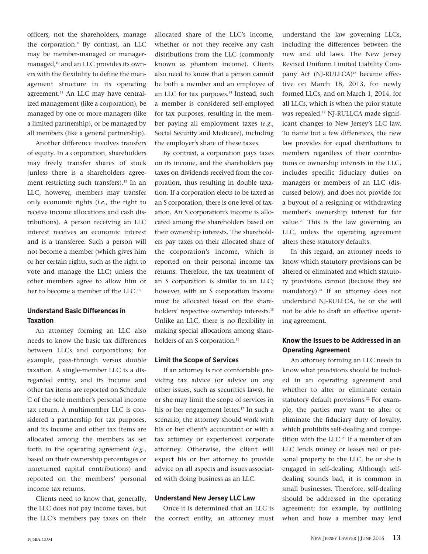officers, not the shareholders, manage the corporation.<sup>9</sup> By contrast, an LLC may be member-managed or managermanaged,<sup>10</sup> and an LLC provides its owners with the flexibility to define the management structure in its operating agreement.<sup>11</sup> An LLC may have centralized management (like a corporation), be managed by one or more managers (like a limited partnership), or be managed by all members (like a general partnership).

Another difference involves transfers of equity. In a corporation, shareholders may freely transfer shares of stock (unless there is a shareholders agreement restricting such transfers).<sup>12</sup> In an LLC, however, members may transfer only economic rights (*i.e*., the right to receive income allocations and cash distributions). A person receiving an LLC interest receives an economic interest and is a transferee. Such a person will not become a member (which gives him or her certain rights, such as the right to vote and manage the LLC) unless the other members agree to allow him or her to become a member of the LLC.<sup>13</sup>

## **Understand Basic Differences in Taxation**

An attorney forming an LLC also needs to know the basic tax differences between LLCs and corporations; for example, pass-through versus double taxation. A single-member LLC is a disregarded entity, and its income and other tax items are reported on Schedule C of the sole member's personal income tax return. A multimember LLC is considered a partnership for tax purposes, and its income and other tax items are allocated among the members as set forth in the operating agreement (*e.g*., based on their ownership percentages or unreturned capital contributions) and reported on the members' personal income tax returns.

Clients need to know that, generally, the LLC does not pay income taxes, but the LLC's members pay taxes on their allocated share of the LLC's income, whether or not they receive any cash distributions from the LLC (commonly known as phantom income). Clients also need to know that a person cannot be both a member and an employee of an LLC for tax purposes.<sup>14</sup> Instead, such a member is considered self-employed for tax purposes, resulting in the member paying all employment taxes (*e.g*., Social Security and Medicare), including the employer's share of these taxes.

By contrast, a corporation pays taxes on its income, and the shareholders pay taxes on dividends received from the corporation, thus resulting in double taxation. If a corporation elects to be taxed as an S corporation, there is one level of taxation. An S corporation's income is allocated among the shareholders based on their ownership interests. The shareholders pay taxes on their allocated share of the corporation's income, which is reported on their personal income tax returns. Therefore, the tax treatment of an S corporation is similar to an LLC; however, with an S corporation income must be allocated based on the shareholders' respective ownership interests.<sup>15</sup> Unlike an LLC, there is no flexibility in making special allocations among shareholders of an S corporation.<sup>16</sup>

#### **Limit the Scope of Services**

If an attorney is not comfortable providing tax advice (or advice on any other issues, such as securities laws), he or she may limit the scope of services in his or her engagement letter.<sup>17</sup> In such a scenario, the attorney should work with his or her client's accountant or with a tax attorney or experienced corporate attorney. Otherwise, the client will expect his or her attorney to provide advice on all aspects and issues associated with doing business as an LLC.

#### **Understand New Jersey LLC Law**

Once it is determined that an LLC is the correct entity, an attorney must

understand the law governing LLCs, including the differences between the new and old laws. The New Jersey Revised Uniform Limited Liability Company Act (NJ-RULLCA)<sup>18</sup> became effective on March 18, 2013, for newly formed LLCs, and on March 1, 2014, for all LLCs, which is when the prior statute was repealed.<sup>19</sup> NJ-RULLCA made significant changes to New Jersey's LLC law. To name but a few differences, the new law provides for equal distributions to members regardless of their contributions or ownership interests in the LLC, includes specific fiduciary duties on managers or members of an LLC (discussed below), and does not provide for a buyout of a resigning or withdrawing member's ownership interest for fair value.<sup>20</sup> This is the law governing an LLC, unless the operating agreement alters these statutory defaults.

In this regard, an attorney needs to know which statutory provisions can be altered or eliminated and which statutory provisions cannot (because they are mandatory).<sup>21</sup> If an attorney does not understand NJ-RULLCA, he or she will not be able to draft an effective operating agreement.

# **Know the Issues to be Addressed in an Operating Agreement**

An attorney forming an LLC needs to know what provisions should be included in an operating agreement and whether to alter or eliminate certain statutory default provisions.<sup>22</sup> For example, the parties may want to alter or eliminate the fiduciary duty of loyalty, which prohibits self-dealing and competition with the LLC.<sup>23</sup> If a member of an LLC lends money or leases real or personal property to the LLC, he or she is engaged in self-dealing. Although selfdealing sounds bad, it is common in small businesses. Therefore, self-dealing should be addressed in the operating agreement; for example, by outlining when and how a member may lend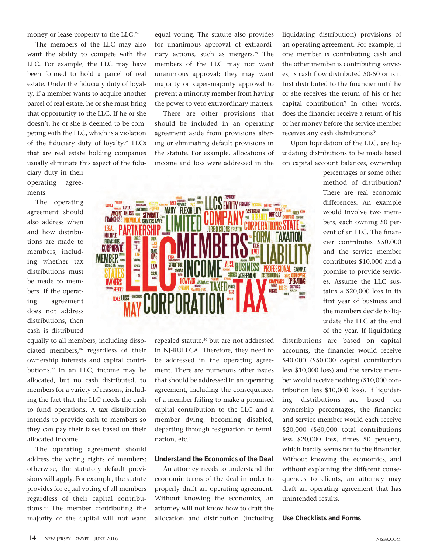money or lease property to the LLC.<sup>24</sup>

The members of the LLC may also want the ability to compete with the LLC. For example, the LLC may have been formed to hold a parcel of real estate. Under the fiduciary duty of loyalty, if a member wants to acquire another parcel of real estate, he or she must bring that opportunity to the LLC. If he or she doesn't, he or she is deemed to be competing with the LLC, which is a violation of the fiduciary duty of loyalty.<sup>25</sup> LLCs that are real estate holding companies usually eliminate this aspect of the fidu-

ciary duty in their operating agreements.

The operating agreement should also address when and how distributions are made to members, including whether tax distributions must be made to members. If the operating agreement does not address distributions, then cash is distributed

equally to all members, including dissociated members,<sup>26</sup> regardless of their ownership interests and capital contributions.<sup>27</sup> In an LLC, income may be allocated, but no cash distributed, to members for a variety of reasons, including the fact that the LLC needs the cash to fund operations. A tax distribution intends to provide cash to members so they can pay their taxes based on their allocated income.

The operating agreement should address the voting rights of members; otherwise, the statutory default provisions will apply. For example, the statute provides for equal voting of all members regardless of their capital contributions.<sup>28</sup> The member contributing the majority of the capital will not want equal voting. The statute also provides for unanimous approval of extraordinary actions, such as mergers.<sup>29</sup> The members of the LLC may not want unanimous approval; they may want majority or super-majority approval to prevent a minority member from having the power to veto extraordinary matters.

There are other provisions that should be included in an operating agreement aside from provisions altering or eliminating default provisions in the statute. For example, allocations of income and loss were addressed in the

PROVIDE AF THE CAPITAL COME<br>AMOUNT UNLESS **MANY FIFXIRILITY GOVERNANCE** PASS-THROUGH **SEPARATE FRANCHISE SERVICES LAWS** CORPO LEGAL **MULTIPLE** Œ **PROVISIONS** CORPORATE **SHARE**<br>ONE **MEMBER WENB** STRUCTUR ieraid<br>Kineeri LAW BUSINESS INAL EXAMPLE SOCIAL SERIES AGREEMENT DISTRIBUTIONS E OPFRATING OWNERS **TAXFD PIERCE REPORT TEXAS LOSS TO CORPORAT** 

> repealed statute,<sup>30</sup> but are not addressed in NJ-RULLCA. Therefore, they need to be addressed in the operating agreement. There are numerous other issues that should be addressed in an operating agreement, including the consequences of a member failing to make a promised capital contribution to the LLC and a member dying, becoming disabled, departing through resignation or termination, etc.<sup>31</sup>

#### **Understand the Economics of the Deal**

An attorney needs to understand the economic terms of the deal in order to properly draft an operating agreement. Without knowing the economics, an attorney will not know how to draft the allocation and distribution (including liquidating distribution) provisions of an operating agreement. For example, if one member is contributing cash and the other member is contributing services, is cash flow distributed 50-50 or is it first distributed to the financier until he or she receives the return of his or her capital contribution? In other words, does the financier receive a return of his or her money before the service member receives any cash distributions?

Upon liquidation of the LLC, are liquidating distributions to be made based on capital account balances, ownership

> percentages or some other method of distribution? There are real economic differences. An example would involve two members, each owning 50 percent of an LLC. The financier contributes \$50,000 and the service member contributes \$10,000 and a promise to provide services. Assume the LLC sustains a \$20,000 loss in its first year of business and the members decide to liquidate the LLC at the end of the year. If liquidating

distributions are based on capital accounts, the financier would receive \$40,000 (\$50,000 capital contribution less \$10,000 loss) and the service member would receive nothing (\$10,000 contribution less \$10,000 loss). If liquidating distributions are based on ownership percentages, the financier and service member would each receive \$20,000 (\$60,000 total contributions less \$20,000 loss, times 50 percent), which hardly seems fair to the financier. Without knowing the economics, and without explaining the different consequences to clients, an attorney may draft an operating agreement that has unintended results.

**Use Checklists and Forms**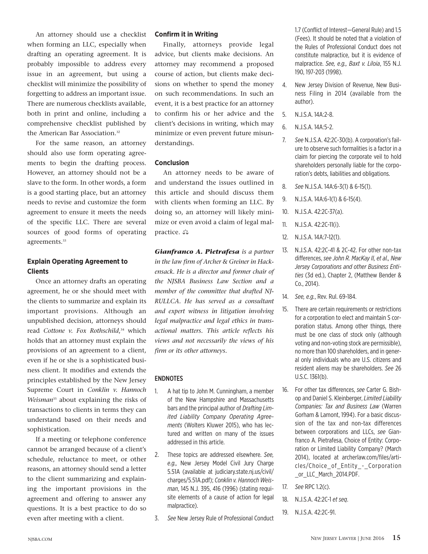An attorney should use a checklist when forming an LLC, especially when drafting an operating agreement. It is probably impossible to address every issue in an agreement, but using a checklist will minimize the possibility of forgetting to address an important issue. There are numerous checklists available, both in print and online, including a comprehensive checklist published by the American Bar Association.<sup>32</sup>

For the same reason, an attorney should also use form operating agreements to begin the drafting process. However, an attorney should not be a slave to the form. In other words, a form is a good starting place, but an attorney needs to revise and customize the form agreement to ensure it meets the needs of the specific LLC. There are several sources of good forms of operating agreements.<sup>33</sup>

# **Explain Operating Agreement to Clients**

Once an attorney drafts an operating agreement, he or she should meet with the clients to summarize and explain its important provisions. Although an unpublished decision, attorneys should read *Cottone v. Fox Rothschild*, <sup>34</sup> which holds that an attorney must explain the provisions of an agreement to a client, even if he or she is a sophisticated business client. It modifies and extends the principles established by the New Jersey Supreme Court in *Conklin v. Hannoch Weisman*<sup>35</sup> about explaining the risks of transactions to clients in terms they can understand based on their needs and sophistication.

If a meeting or telephone conference cannot be arranged because of a client's schedule, reluctance to meet, or other reasons, an attorney should send a letter to the client summarizing and explaining the important provisions in the agreement and offering to answer any questions. It is a best practice to do so even after meeting with a client.

### **Confirm it in Writing**

Finally, attorneys provide legal advice, but clients make decisions. An attorney may recommend a proposed course of action, but clients make decisions on whether to spend the money on such recommendations. In such an event, it is a best practice for an attorney to confirm his or her advice and the client's decisions in writing, which may minimize or even prevent future misunderstandings.

#### **Conclusion**

An attorney needs to be aware of and understand the issues outlined in this article and should discuss them with clients when forming an LLC. By doing so, an attorney will likely minimize or even avoid a claim of legal malpractice.  $\triangle$ 

*Gianfranco A. Pietrafesa is a partner in the law firm of Archer & Greiner in Hackensack. He is a director and former chair of the NJSBA Business Law Section and a member of the committee that drafted NJ-RULLCA. He has served as a consultant and expert witness in litigation involving legal malpractice and legal ethics in transactional matters. This article reflects his views and not necessarily the views of his firm or its other attorneys.*

#### ENDNOTES

- 1. A hat tip to John M. Cunningham, a member of the New Hampshire and Massachusetts bars and the principal author of *Drafting Limited Liability Company Operating Agreements* (Wolters Kluwer 2015), who has lectured and written on many of the issues addressed in this article.
- 2. These topics are addressed elsewhere. *See, e.g.,* New Jersey Model Civil Jury Charge 5.51A (available at judiciary.state.nj.us/civil/ charges/5.51A.pdf); *Conklin v. Hannoch Weisman*, 145 N.J. 395, 416 (1996) (stating requisite elements of a cause of action for legal malpractice).
- 3. *See* New Jersey Rule of Professional Conduct

1.7 (Conflict of Interest—General Rule) and 1.5 (Fees). It should be noted that a violation of the Rules of Professional Conduct does not constitute malpractice, but it is evidence of malpractice. *See, e.g., Baxt v. Liloia*, 155 N.J. 190, 197-203 (1998).

- 4. New Jersey Division of Revenue, New Business Filing in 2014 (available from the author).
- 5. N.J.S.A. 14A:2-8.
- 6. N.J.S.A. 14A:5-2.
- 7. *See* N.J.S.A. 42:2C-30(b). A corporation's failure to observe such formalities is a factor in a claim for piercing the corporate veil to hold shareholders personally liable for the corporation's debts, liabilities and obligations.
- 8. *See* N.J.S.A. 14A:6-3(1) & 6-15(1).
- 9. N.J.S.A. 14A:6-1(1) & 6-15(4).
- 10. N.J.S.A. 42:2C-37(a).
- 11. N.J.S.A. 42:2C-11(i).
- 12. N.J.S.A. 14A:7-12(1).
- 13. N.J.S.A. 42:2C-41 & 2C-42. For other non-tax differences, *see John R. MacKay II, et al., New Jersey Corporations and other Business Entities* (3d ed.), Chapter 2, (Matthew Bender & Co., 2014).
- 14. *See, e.g.*, Rev. Rul. 69-184.
- 15. There are certain requirements or restrictions for a corporation to elect and maintain S corporation status. Among other things, there must be one class of stock only (although voting and non-voting stock are permissible), no more than 100 shareholders, and in general only individuals who are U.S. citizens and resident aliens may be shareholders. *See* 26 U.S.C. 1361(b).
- 16. For other tax differences, *see* Carter G. Bishop and Daniel S. Kleinberger, *Limited Liability Companies: Tax and Business Law* (Warren Gorham & Lamont, 1994). For a basic discussion of the tax and non-tax differences between corporations and LLCs, *see* Gianfranco A. Pietrafesa, Choice of Entity: Corporation or Limited Liability Company? (March 2014), located at archerlaw.com/files/articles/Choice\_of\_Entity\_-\_Corporation or LLC March 2014.PDF.
- 17. *See* RPC 1.2(c).
- 18. N.J.S.A. 42:2C-1 *et seq*.
- 19. N.J.S.A. 42:2C-91.